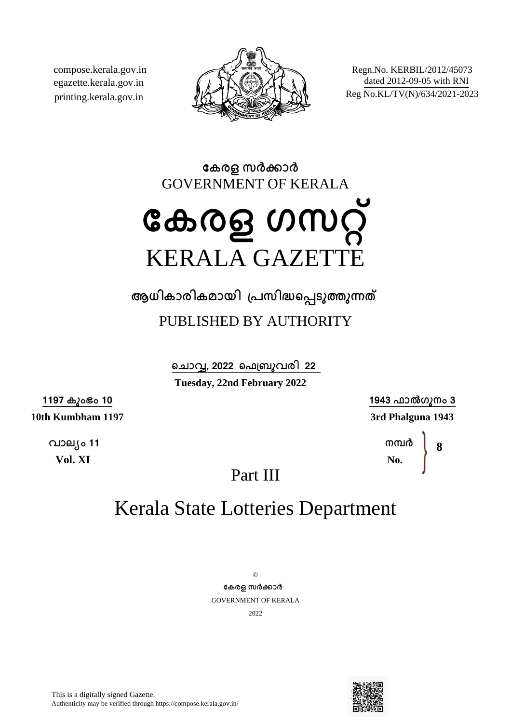compose.kerala.gov.in egazette.kerala.gov.in printing.kerala.gov.in



Regn.No. KERBIL/2012/45073 dated 2012-09-05 with RNI Reg No.KL/TV(N)/634/2021-2023

**േകരള സരകാര** GOVERNMENT OF KERALA

# **േകരള ഗസറ്** KERALA GAZETTE

**ആധികാരികമായി ്പസിദെപടുതുനത**

### PUBLISHED BY AUTHORITY

**െചാവ, 2022 െഫ്ബുവരി 22 Tuesday, 22nd February 2022**

**1197 കുംഭം 10**

**10th Kumbham 1197**

**വാല്ം 11 Vol. XI**

**1943 ഫാൽഗുനം 3 3rd Phalguna 1943**

> **നമര No. 8**

Part III

## Kerala State Lotteries Department

© **േകരള സരകാര** GOVERNMENT OF KERALA 2022

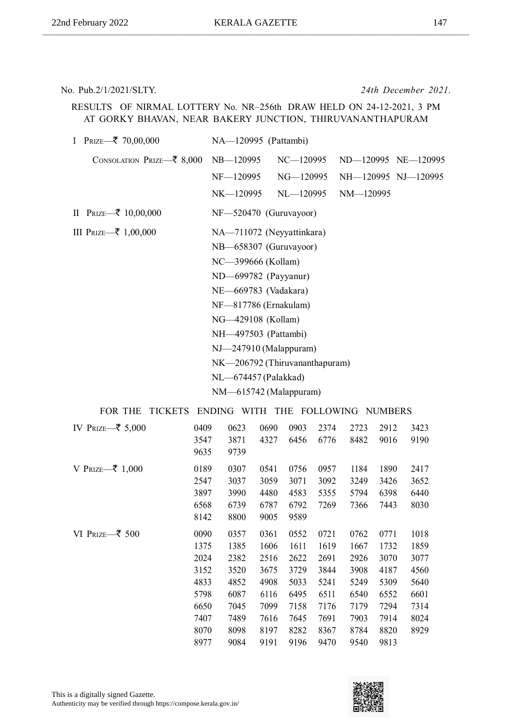No. Pub.2/1/2021/SLTY. *24th December 2021.*

RESULTS OF NIRMAL LOTTERY No. NR–256th DRAW HELD ON 24-12-2021, 3 PM AT GORKY BHAVAN, NEAR BAKERY JUNCTION, THIRUVANANTHAPURAM

| I Prize— $\bar{\xi}$ 70,00,000                 | NA-120995 (Pattambi)       |                                |                     |  |
|------------------------------------------------|----------------------------|--------------------------------|---------------------|--|
| CONSOLATION PRIZE— $\bar{\xi}$ 8,000 NB—120995 |                            | $NC - 120995$                  | ND-120995 NE-120995 |  |
|                                                | NF-120995                  | NG-120995                      | NH-120995 NJ-120995 |  |
|                                                | NK—120995                  | NL—120995                      | NM-120995           |  |
| II Prize— $\bar{z}$ 10,00,000                  | $NF - 520470$ (Guruvayoor) |                                |                     |  |
| III Prize— $\bar{\bar{\xi}}$ 1,00,000          |                            | NA-711072 (Neyyattinkara)      |                     |  |
|                                                | NB-658307 (Guruvayoor)     |                                |                     |  |
|                                                | NC-399666 (Kollam)         |                                |                     |  |
|                                                | ND-699782 (Payyanur)       |                                |                     |  |
|                                                | NE-669783 (Vadakara)       |                                |                     |  |
|                                                | NF-817786 (Ernakulam)      |                                |                     |  |
|                                                | NG-429108 (Kollam)         |                                |                     |  |
|                                                | NH-497503 (Pattambi)       |                                |                     |  |
|                                                | $NJ - 247910$ (Malappuram) |                                |                     |  |
|                                                |                            | NK-206792 (Thiruvananthapuram) |                     |  |
|                                                | NL-674457 (Palakkad)       |                                |                     |  |
|                                                |                            |                                |                     |  |

NM—615742 (Malappuram)

| IV PRIZE $\overline{\mathbf{z}}$ 5,000 | 0409<br>3547<br>9635                                                         | 0623<br>3871<br>9739                                                         | 0690<br>4327                                                                 | 0903<br>6456                                                                 | 2374<br>6776                                                                 | 2723<br>8482                                                                 | 2912<br>9016                                                                 | 3423<br>9190                                                         |
|----------------------------------------|------------------------------------------------------------------------------|------------------------------------------------------------------------------|------------------------------------------------------------------------------|------------------------------------------------------------------------------|------------------------------------------------------------------------------|------------------------------------------------------------------------------|------------------------------------------------------------------------------|----------------------------------------------------------------------|
| V PRIZE–₹ 1,000                        | 0189<br>2547<br>3897<br>6568<br>8142                                         | 0307<br>3037<br>3990<br>6739<br>8800                                         | 0541<br>3059<br>4480<br>6787<br>9005                                         | 0756<br>3071<br>4583<br>6792<br>9589                                         | 0957<br>3092<br>5355<br>7269                                                 | 1184<br>3249<br>5794<br>7366                                                 | 1890<br>3426<br>6398<br>7443                                                 | 2417<br>3652<br>6440<br>8030                                         |
| VI Prize— $\bar{\bar{\xi}}$ 500        | 0090<br>1375<br>2024<br>3152<br>4833<br>5798<br>6650<br>7407<br>8070<br>8977 | 0357<br>1385<br>2382<br>3520<br>4852<br>6087<br>7045<br>7489<br>8098<br>9084 | 0361<br>1606<br>2516<br>3675<br>4908<br>6116<br>7099<br>7616<br>8197<br>9191 | 0552<br>1611<br>2622<br>3729<br>5033<br>6495<br>7158<br>7645<br>8282<br>9196 | 0721<br>1619<br>2691<br>3844<br>5241<br>6511<br>7176<br>7691<br>8367<br>9470 | 0762<br>1667<br>2926<br>3908<br>5249<br>6540<br>7179<br>7903<br>8784<br>9540 | 0771<br>1732<br>3070<br>4187<br>5309<br>6552<br>7294<br>7914<br>8820<br>9813 | 1018<br>1859<br>3077<br>4560<br>5640<br>6601<br>7314<br>8024<br>8929 |

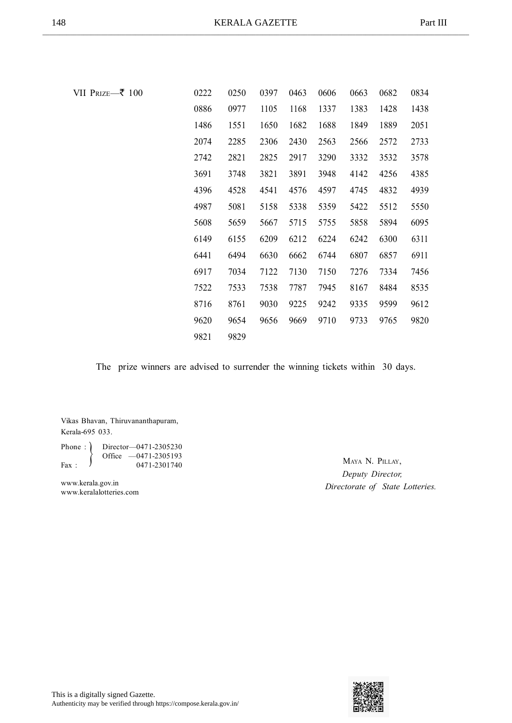| VII Prize—₹ 100 | 0222 | 0250 | 0397 | 0463 | 0606 | 0663 | 0682 | 0834 |
|-----------------|------|------|------|------|------|------|------|------|
|                 | 0886 | 0977 | 1105 | 1168 | 1337 | 1383 | 1428 | 1438 |
|                 | 1486 | 1551 | 1650 | 1682 | 1688 | 1849 | 1889 | 2051 |
|                 | 2074 | 2285 | 2306 | 2430 | 2563 | 2566 | 2572 | 2733 |
|                 | 2742 | 2821 | 2825 | 2917 | 3290 | 3332 | 3532 | 3578 |
|                 | 3691 | 3748 | 3821 | 3891 | 3948 | 4142 | 4256 | 4385 |
|                 | 4396 | 4528 | 4541 | 4576 | 4597 | 4745 | 4832 | 4939 |
|                 | 4987 | 5081 | 5158 | 5338 | 5359 | 5422 | 5512 | 5550 |
|                 | 5608 | 5659 | 5667 | 5715 | 5755 | 5858 | 5894 | 6095 |
|                 | 6149 | 6155 | 6209 | 6212 | 6224 | 6242 | 6300 | 6311 |
|                 | 6441 | 6494 | 6630 | 6662 | 6744 | 6807 | 6857 | 6911 |
|                 | 6917 | 7034 | 7122 | 7130 | 7150 | 7276 | 7334 | 7456 |
|                 | 7522 | 7533 | 7538 | 7787 | 7945 | 8167 | 8484 | 8535 |
|                 | 8716 | 8761 | 9030 | 9225 | 9242 | 9335 | 9599 | 9612 |
|                 | 9620 | 9654 | 9656 | 9669 | 9710 | 9733 | 9765 | 9820 |
|                 | 9821 | 9829 |      |      |      |      |      |      |

Vikas Bhavan, Thiruvananthapuram, Kerala-695 033.

Phone : Director-0471-2305230 Office —0471-2305193 Fax :  $\frac{1}{2}$  0471-2301740  $\left\{ \right.$ 

www.kerala.gov.in www.keralalotteries.com

MAYA N. PILLAY, *Deputy Director, Directorate of State Lotteries.*

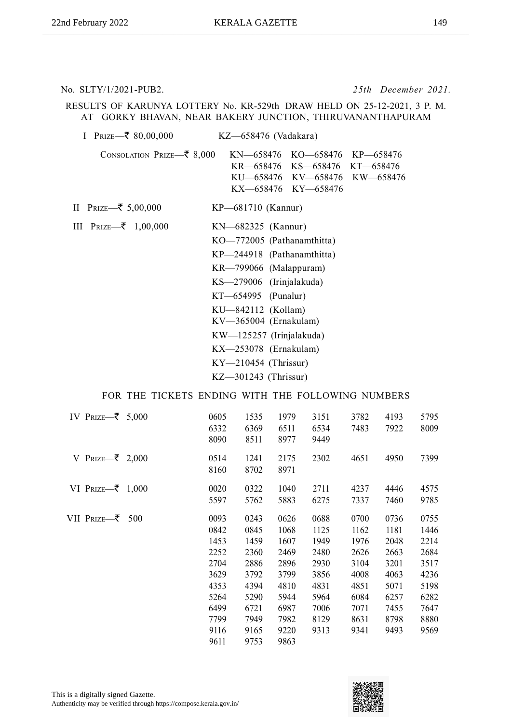No. SLTY/1/2021-PUB2. *25th December 2021.*

#### RESULTS OF KARUNYA LOTTERY No. KR-529th DRAW HELD ON 25-12-2021, 3 P. M. AT GORKY BHAVAN, NEAR BAKERY JUNCTION, THIRUVANANTHAPURAM

| I PRIZE— $\bar{\xi}$ 80,00,000              | $KZ$ —658476 (Vadakara)                                                                                                                                                                                                                                                                                                                            |
|---------------------------------------------|----------------------------------------------------------------------------------------------------------------------------------------------------------------------------------------------------------------------------------------------------------------------------------------------------------------------------------------------------|
| CONSOLATION PRIZE- $\bar{\mathbf{z}}$ 8,000 | KN—658476 KO—658476 KP—658476<br>KR—658476 KS—658476<br>KT—658476<br>KU-658476 KV-658476 KW-658476<br>KX-658476 KY-658476                                                                                                                                                                                                                          |
| II Prize—₹ 5,00,000                         | KP-681710 (Kannur)                                                                                                                                                                                                                                                                                                                                 |
| III $\text{Prize} \rightarrow 1,00,000$     | $KN - 682325$ (Kannur)<br>KO-772005 (Pathanamthitta)<br>KP-244918 (Pathanamthitta)<br>KR-799066 (Malappuram)<br>$KS$ -279006 (Irinjalakuda)<br>$KT-654995$ (Punalur)<br>KU-842112 (Kollam)<br>$KV\_365004$ (Ernakulam)<br>KW—125257 (Irinjalakuda)<br>$\text{KX}$ -253078 (Ernakulam)<br>$KY$ <sup>210454</sup> (Thrissur)<br>KZ-301243 (Thrissur) |

| IV PRIZE $\overline{\mathbf{z}}$ 5,000 | 0605<br>6332<br>8090                                                                         | 1535<br>6369<br>8511                                                                         | 1979<br>6511<br>8977                                                                         | 3151<br>6534<br>9449                                                                 | 3782<br>7483                                                                         | 4193<br>7922                                                                         | 5795<br>8009                                                                         |
|----------------------------------------|----------------------------------------------------------------------------------------------|----------------------------------------------------------------------------------------------|----------------------------------------------------------------------------------------------|--------------------------------------------------------------------------------------|--------------------------------------------------------------------------------------|--------------------------------------------------------------------------------------|--------------------------------------------------------------------------------------|
| V PRIZE $\overline{\mathbf{z}}$ 2,000  | 0514<br>8160                                                                                 | 1241<br>8702                                                                                 | 2175<br>8971                                                                                 | 2302                                                                                 | 4651                                                                                 | 4950                                                                                 | 7399                                                                                 |
| VI PRIZE $\overline{\mathbf{z}}$ 1,000 | 0020<br>5597                                                                                 | 0322<br>5762                                                                                 | 1040<br>5883                                                                                 | 2711<br>6275                                                                         | 4237<br>7337                                                                         | 4446<br>7460                                                                         | 4575<br>9785                                                                         |
| VII PRIZE—₹ 500                        | 0093<br>0842<br>1453<br>2252<br>2704<br>3629<br>4353<br>5264<br>6499<br>7799<br>9116<br>9611 | 0243<br>0845<br>1459<br>2360<br>2886<br>3792<br>4394<br>5290<br>6721<br>7949<br>9165<br>9753 | 0626<br>1068<br>1607<br>2469<br>2896<br>3799<br>4810<br>5944<br>6987<br>7982<br>9220<br>9863 | 0688<br>1125<br>1949<br>2480<br>2930<br>3856<br>4831<br>5964<br>7006<br>8129<br>9313 | 0700<br>1162<br>1976<br>2626<br>3104<br>4008<br>4851<br>6084<br>7071<br>8631<br>9341 | 0736<br>1181<br>2048<br>2663<br>3201<br>4063<br>5071<br>6257<br>7455<br>8798<br>9493 | 0755<br>1446<br>2214<br>2684<br>3517<br>4236<br>5198<br>6282<br>7647<br>8880<br>9569 |

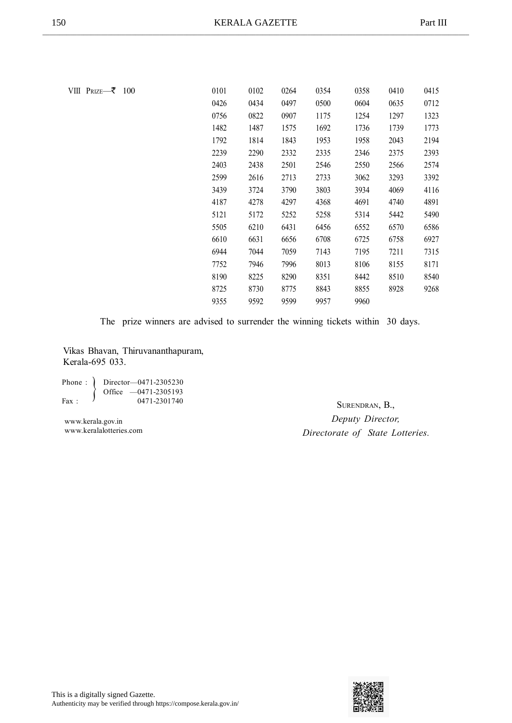VIII  $Prize \rightarrow 100$ 

| 0101 | 0102 | 0264 | 0354 | 0358 | 0410 | 0415 |
|------|------|------|------|------|------|------|
| 0426 | 0434 | 0497 | 0500 | 0604 | 0635 | 0712 |
| 0756 | 0822 | 0907 | 1175 | 1254 | 1297 | 1323 |
| 1482 | 1487 | 1575 | 1692 | 1736 | 1739 | 1773 |
| 1792 | 1814 | 1843 | 1953 | 1958 | 2043 | 2194 |
| 2239 | 2290 | 2332 | 2335 | 2346 | 2375 | 2393 |
| 2403 | 2438 | 2501 | 2546 | 2550 | 2566 | 2574 |
| 2599 | 2616 | 2713 | 2733 | 3062 | 3293 | 3392 |
| 3439 | 3724 | 3790 | 3803 | 3934 | 4069 | 4116 |
| 4187 | 4278 | 4297 | 4368 | 4691 | 4740 | 4891 |
| 5121 | 5172 | 5252 | 5258 | 5314 | 5442 | 5490 |
| 5505 | 6210 | 6431 | 6456 | 6552 | 6570 | 6586 |
| 6610 | 6631 | 6656 | 6708 | 6725 | 6758 | 6927 |
| 6944 | 7044 | 7059 | 7143 | 7195 | 7211 | 7315 |
| 7752 | 7946 | 7996 | 8013 | 8106 | 8155 | 8171 |
| 8190 | 8225 | 8290 | 8351 | 8442 | 8510 | 8540 |
| 8725 | 8730 | 8775 | 8843 | 8855 | 8928 | 9268 |
| 9355 | 9592 | 9599 | 9957 | 9960 |      |      |

The prize winners are advised to surrender the winning tickets within 30 days.

Vikas Bhavan, Thiruvananthapuram, Kerala-695 033.

|       | Phone: $\int$ Director-0471-2305230 |
|-------|-------------------------------------|
|       | Office $-0471-2305193$              |
| Fax · | 0471-2301740                        |

www.kerala.gov.in www.keralalotteries.com

SURENDRAN, B., *Deputy Director, Directorate of State Lotteries.*

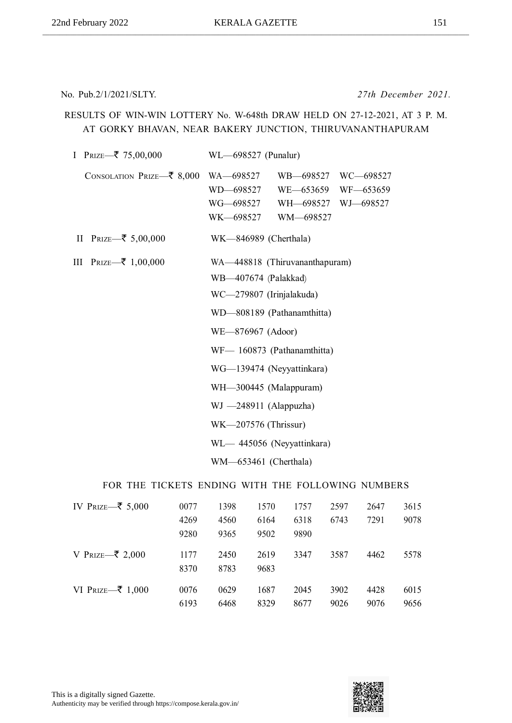No. Pub.2/1/2021/SLTY. *27th December 2021.*

#### RESULTS OF WIN-WIN LOTTERY No. W-648th DRAW HELD ON 27-12-2021, AT 3 P. M. AT GORKY BHAVAN, NEAR BAKERY JUNCTION, THIRUVANANTHAPURAM

| I PRIZE $\overline{\mathbf{z}}$ 75,00,000   | WL-698527 (Punalur)                                                                                                                                                                                                                                                                                                                  |
|---------------------------------------------|--------------------------------------------------------------------------------------------------------------------------------------------------------------------------------------------------------------------------------------------------------------------------------------------------------------------------------------|
| CONSOLATION PRIZE- $\bar{\mathbf{z}}$ 8,000 | WB-698527<br>WC-698527<br>WA-698527<br>WD-698527<br>WE-653659<br>WF-653659<br>WG—698527<br>WH—698527<br>WJ-698527<br>WK-698527<br>WM-698527                                                                                                                                                                                          |
| II PRIZE— $\bar{z}$ 5,00,000                | WK-846989 (Cherthala)                                                                                                                                                                                                                                                                                                                |
| III PRIZE—₹ 1,00,000                        | WA-448818 (Thiruvananthapuram)<br>WB-407674 (Palakkad)<br>WC-279807 (Irinjalakuda)<br>WD-808189 (Pathanamthitta)<br>WE-876967 (Adoor)<br>WF-160873 (Pathanamthitta)<br>WG-139474 (Neyyattinkara)<br>WH-300445 (Malappuram)<br>$WJ -248911$ (Alappuzha)<br>WK-207576 (Thrissur)<br>WL-445056 (Neyyattinkara)<br>WM-653461 (Cherthala) |

| IV PRIZE— $\bar{\xi}$ 5,000             | 0077<br>4269<br>9280 | 1398<br>4560<br>9365 | 1570<br>6164<br>9502 | 1757<br>6318<br>9890 | 2597<br>6743 | 2647<br>7291 | 3615<br>9078 |
|-----------------------------------------|----------------------|----------------------|----------------------|----------------------|--------------|--------------|--------------|
| V PRIZE $\overline{\mathcal{Z}}$ 2,000  | 1177<br>8370         | 2450<br>8783         | 2619<br>9683         | 3347                 | 3587         | 4462         | 5578         |
| VI PRIZE $\overline{\mathcal{Z}}$ 1,000 | 0076<br>6193         | 0629<br>6468         | 1687<br>8329         | 2045<br>8677         | 3902<br>9026 | 4428<br>9076 | 6015<br>9656 |

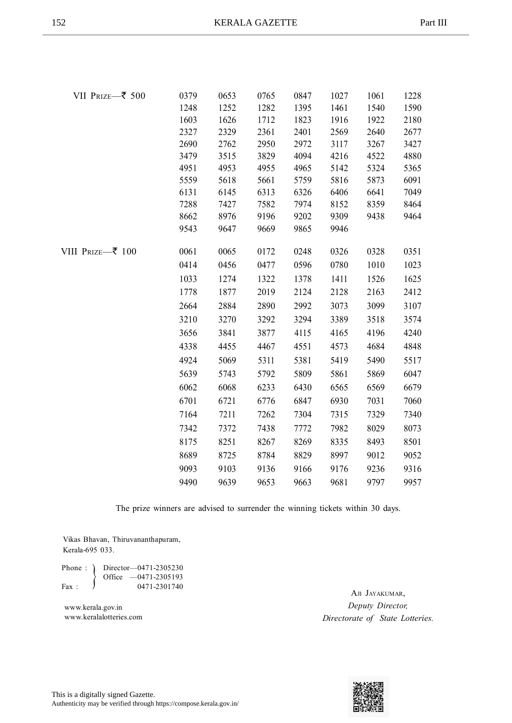| VII PRIZE-₹ 500  | 0379 | 0653 | 0765 | 0847 | 1027 | 1061 | 1228 |
|------------------|------|------|------|------|------|------|------|
|                  | 1248 | 1252 | 1282 | 1395 | 1461 | 1540 | 1590 |
|                  | 1603 | 1626 | 1712 | 1823 | 1916 | 1922 | 2180 |
|                  | 2327 | 2329 | 2361 | 2401 | 2569 | 2640 | 2677 |
|                  | 2690 | 2762 | 2950 | 2972 | 3117 | 3267 | 3427 |
|                  | 3479 | 3515 | 3829 | 4094 | 4216 | 4522 | 4880 |
|                  | 4951 | 4953 | 4955 | 4965 | 5142 | 5324 | 5365 |
|                  | 5559 | 5618 | 5661 | 5759 | 5816 | 5873 | 6091 |
|                  | 6131 | 6145 | 6313 | 6326 | 6406 | 6641 | 7049 |
|                  | 7288 | 7427 | 7582 | 7974 | 8152 | 8359 | 8464 |
|                  | 8662 | 8976 | 9196 | 9202 | 9309 | 9438 | 9464 |
|                  | 9543 | 9647 | 9669 | 9865 | 9946 |      |      |
| VIII Prize—₹ 100 | 0061 | 0065 | 0172 | 0248 | 0326 | 0328 | 0351 |
|                  | 0414 | 0456 | 0477 | 0596 | 0780 | 1010 | 1023 |
|                  | 1033 | 1274 | 1322 | 1378 | 1411 | 1526 | 1625 |
|                  | 1778 | 1877 | 2019 | 2124 | 2128 | 2163 | 2412 |
|                  | 2664 | 2884 | 2890 | 2992 | 3073 | 3099 | 3107 |
|                  | 3210 | 3270 | 3292 | 3294 | 3389 | 3518 | 3574 |
|                  | 3656 | 3841 | 3877 | 4115 | 4165 | 4196 | 4240 |
|                  | 4338 | 4455 | 4467 | 4551 | 4573 | 4684 | 4848 |
|                  | 4924 | 5069 | 5311 | 5381 | 5419 | 5490 | 5517 |
|                  | 5639 | 5743 | 5792 | 5809 | 5861 | 5869 | 6047 |
|                  | 6062 | 6068 | 6233 | 6430 | 6565 | 6569 | 6679 |
|                  | 6701 | 6721 | 6776 | 6847 | 6930 | 7031 | 7060 |
|                  | 7164 | 7211 | 7262 | 7304 | 7315 | 7329 | 7340 |
|                  | 7342 | 7372 | 7438 | 7772 | 7982 | 8029 | 8073 |
|                  | 8175 | 8251 | 8267 | 8269 | 8335 | 8493 | 8501 |
|                  | 8689 | 8725 | 8784 | 8829 | 8997 | 9012 | 9052 |
|                  | 9093 | 9103 | 9136 | 9166 | 9176 | 9236 | 9316 |
|                  | 9490 | 9639 | 9653 | 9663 | 9681 | 9797 | 9957 |

Vikas Bhavan, Thiruvananthapuram, Kerala-695 033.

Phone : ) Director-0471-2305230  $\left\{\n \begin{array}{ccc}\n \text{7} & 0 & \text{8} \\
\text{7} & 0 & \text{9} \\
\text{8} & 0 & \text{1} \\
\text{9} & 0 & \text{1} \\
\text{10} & 0 & \text{1} \\
\text{11} & 0 & \text{10} \\
\text{12} & 0 & \text{10} \\
\text{13} & 0 & \text{10} \\
\text{14} & 0 & \text{10} \\
\text{15} & 0 & \text{10} \\
\text{16} & 0 & \text{10} \\
\text{17} & 0 & \text{10} \\
\text{18} & 0 & \text$ 

www.kerala.gov.in www.keralalotteries.com

AJI JAYAKUMAR, *Deputy Director, Directorate of State Lotteries.*

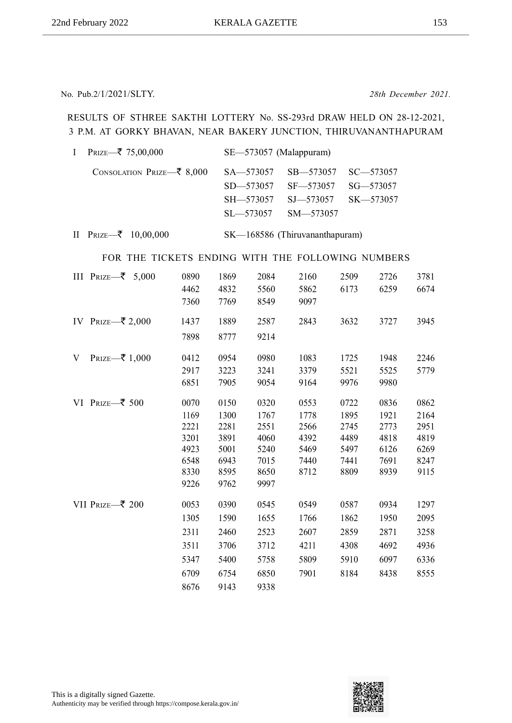No. Pub.2/1/2021/SLTY. *28th December 2021.*

#### RESULTS OF STHREE SAKTHI LOTTERY No. SS-293rd DRAW HELD ON 28-12-2021, 3 P.M. AT GORKY BHAVAN, NEAR BAKERY JUNCTION, THIRUVANANTHAPURAM

| PRIZE-₹ 75,00,000<br>$\mathbf I$                  |                                                              |                                                              |                                                              | SE-573057 (Malappuram)                               |                                                      |                                                      |                                                      |
|---------------------------------------------------|--------------------------------------------------------------|--------------------------------------------------------------|--------------------------------------------------------------|------------------------------------------------------|------------------------------------------------------|------------------------------------------------------|------------------------------------------------------|
| CONSOLATION PRIZE–₹ 8,000                         |                                                              |                                                              | SA-573057<br>SD-573057<br>SH-573057<br>SL-573057             | SB-573057<br>SF-573057<br>SJ-573057<br>SM-573057     |                                                      | $SC - 573057$<br>SG-573057<br>SK-573057              |                                                      |
| PRIZE–₹ 10,00,000<br>$\mathbf{I}$                 |                                                              |                                                              |                                                              | SK-168586 (Thiruvananthapuram)                       |                                                      |                                                      |                                                      |
| FOR THE TICKETS ENDING WITH THE FOLLOWING NUMBERS |                                                              |                                                              |                                                              |                                                      |                                                      |                                                      |                                                      |
| III PRIZE $\overline{\mathbf{z}}$ 5,000           | 0890<br>4462<br>7360                                         | 1869<br>4832<br>7769                                         | 2084<br>5560<br>8549                                         | 2160<br>5862<br>9097                                 | 2509<br>6173                                         | 2726<br>6259                                         | 3781<br>6674                                         |
| IV PRIZE–₹ 2,000                                  | 1437<br>7898                                                 | 1889<br>8777                                                 | 2587<br>9214                                                 | 2843                                                 | 3632                                                 | 3727                                                 | 3945                                                 |
| PRIZE–₹ 1,000<br>V                                | 0412<br>2917<br>6851                                         | 0954<br>3223<br>7905                                         | 0980<br>3241<br>9054                                         | 1083<br>3379<br>9164                                 | 1725<br>5521<br>9976                                 | 1948<br>5525<br>9980                                 | 2246<br>5779                                         |
| VI PRIZE-₹ 500                                    | 0070<br>1169<br>2221<br>3201<br>4923<br>6548<br>8330<br>9226 | 0150<br>1300<br>2281<br>3891<br>5001<br>6943<br>8595<br>9762 | 0320<br>1767<br>2551<br>4060<br>5240<br>7015<br>8650<br>9997 | 0553<br>1778<br>2566<br>4392<br>5469<br>7440<br>8712 | 0722<br>1895<br>2745<br>4489<br>5497<br>7441<br>8809 | 0836<br>1921<br>2773<br>4818<br>6126<br>7691<br>8939 | 0862<br>2164<br>2951<br>4819<br>6269<br>8247<br>9115 |
| VII PRIZE–₹ 200                                   | 0053<br>1305<br>2311<br>3511                                 | 0390<br>1590<br>2460<br>3706                                 | 0545<br>1655<br>2523<br>3712                                 | 0549<br>1766<br>2607<br>4211                         | 0587<br>1862<br>2859<br>4308                         | 0934<br>1950<br>2871<br>4692                         | 1297<br>2095<br>3258<br>4936                         |

8676 9143 9338



5347 5400 5758 5809 5910 6097 6336 6709 6754 6850 7901 8184 8438 8555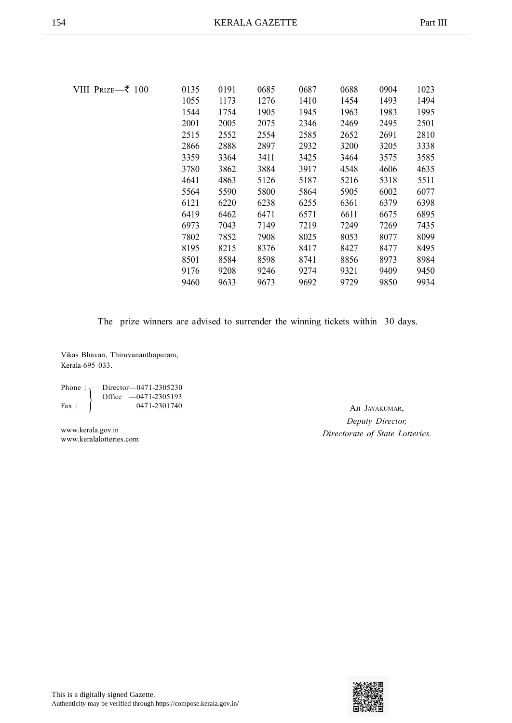| VIII Prize—₹ 100 | 0135 | 0191 | 0685 | 0687 | 0688 | 0904 | 1023 |
|------------------|------|------|------|------|------|------|------|
|                  | 1055 | 1173 | 1276 | 1410 | 1454 | 1493 | 1494 |
|                  | 1544 | 1754 | 1905 | 1945 | 1963 | 1983 | 1995 |
|                  | 2001 | 2005 | 2075 | 2346 | 2469 | 2495 | 2501 |
|                  | 2515 | 2552 | 2554 | 2585 | 2652 | 2691 | 2810 |
|                  | 2866 | 2888 | 2897 | 2932 | 3200 | 3205 | 3338 |
|                  | 3359 | 3364 | 3411 | 3425 | 3464 | 3575 | 3585 |
|                  | 3780 | 3862 | 3884 | 3917 | 4548 | 4606 | 4635 |
|                  | 4641 | 4863 | 5126 | 5187 | 5216 | 5318 | 5511 |
|                  | 5564 | 5590 | 5800 | 5864 | 5905 | 6002 | 6077 |
|                  | 6121 | 6220 | 6238 | 6255 | 6361 | 6379 | 6398 |
|                  | 6419 | 6462 | 6471 | 6571 | 6611 | 6675 | 6895 |
|                  | 6973 | 7043 | 7149 | 7219 | 7249 | 7269 | 7435 |
|                  | 7802 | 7852 | 7908 | 8025 | 8053 | 8077 | 8099 |
|                  | 8195 | 8215 | 8376 | 8417 | 8427 | 8477 | 8495 |
|                  | 8501 | 8584 | 8598 | 8741 | 8856 | 8973 | 8984 |
|                  | 9176 | 9208 | 9246 | 9274 | 9321 | 9409 | 9450 |
|                  | 9460 | 9633 | 9673 | 9692 | 9729 | 9850 | 9934 |
|                  |      |      |      |      |      |      |      |

Vikas Bhavan, Thiruvananthapuram, Kerala-695 033.

| Phone: $\lambda$ | Director-0471-2305230  |
|------------------|------------------------|
|                  | Office $-0471-2305193$ |
| $\text{Fax}$ :   | 0471-2301740           |

www.kerala.gov.in www.keralalotteries.com

AJI JAYAKUMAR, *Deputy Director, Directorate of State Lotteries.*

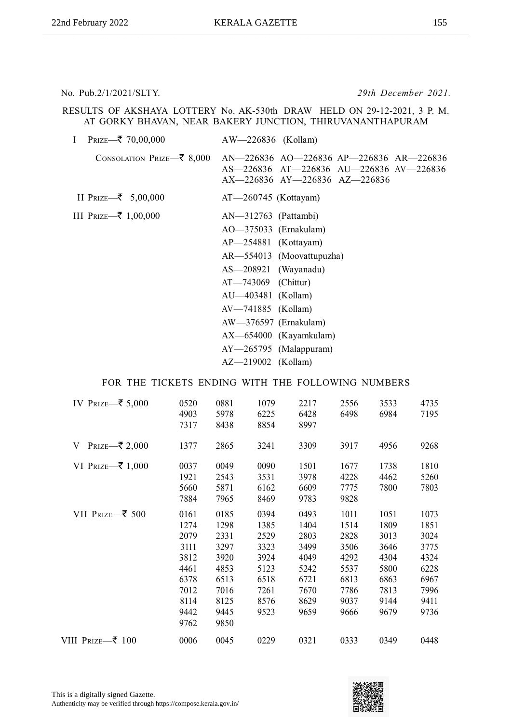No. Pub.2/1/2021/SLTY. *29th December 2021.*

RESULTS OF AKSHAYA LOTTERY No. AK-530th DRAW HELD ON 29-12-2021, 3 P. M. AT GORKY BHAVAN, NEAR BAKERY JUNCTION, THIRUVANANTHAPURAM

| $\mathbf{I}$<br>PRIZE—₹ 70,00,000           | $AW=226836$ (Kollam)                                                                                                |
|---------------------------------------------|---------------------------------------------------------------------------------------------------------------------|
| CONSOLATION PRIZE— $\bar{\mathbf{z}}$ 8,000 | AN—226836 AO—226836 AP—226836 AR—226836<br>AS-226836 AT-226836 AU-226836 AV-226836<br>AX-226836 AY-226836 AZ-226836 |
| II PRIZE— $\bar{z}$ 5,00,000                | $AT - 260745$ (Kottayam)                                                                                            |
| III PRIZE—₹ 1,00,000                        | $AN-312763$ (Pattambi)                                                                                              |
|                                             | AO-375033 (Ernakulam)                                                                                               |
|                                             | $AP - 254881$ (Kottayam)                                                                                            |
|                                             | AR—554013 (Moovattupuzha)                                                                                           |
|                                             | $AS - 208921$ (Wayanadu)                                                                                            |
|                                             | $AT - 743069$ (Chittur)                                                                                             |
|                                             | AU—403481 (Kollam)                                                                                                  |
|                                             | AV-741885 (Kollam)                                                                                                  |
|                                             | AW-376597 (Ernakulam)                                                                                               |
|                                             | AX-654000 (Kayamkulam)                                                                                              |
|                                             | $AY$ -265795 (Malappuram)                                                                                           |
|                                             | $AZ - 219002$ (Kollam)                                                                                              |

| IV PRIZE—₹ 5,000                  | 0520 | 0881 | 1079 | 2217 | 2556 | 3533 | 4735 |
|-----------------------------------|------|------|------|------|------|------|------|
|                                   | 4903 | 5978 | 6225 | 6428 | 6498 | 6984 | 7195 |
|                                   | 7317 | 8438 | 8854 | 8997 |      |      |      |
| PRIZE—₹ 2,000<br>V                | 1377 | 2865 | 3241 | 3309 | 3917 | 4956 | 9268 |
| VI PRIZE—₹ 1,000                  | 0037 | 0049 | 0090 | 1501 | 1677 | 1738 | 1810 |
|                                   | 1921 | 2543 | 3531 | 3978 | 4228 | 4462 | 5260 |
|                                   | 5660 | 5871 | 6162 | 6609 | 7775 | 7800 | 7803 |
|                                   | 7884 | 7965 | 8469 | 9783 | 9828 |      |      |
| VII PRIZE- $\bar{\mathbf{z}}$ 500 | 0161 | 0185 | 0394 | 0493 | 1011 | 1051 | 1073 |
|                                   | 1274 | 1298 | 1385 | 1404 | 1514 | 1809 | 1851 |
|                                   | 2079 | 2331 | 2529 | 2803 | 2828 | 3013 | 3024 |
|                                   | 3111 | 3297 | 3323 | 3499 | 3506 | 3646 | 3775 |
|                                   | 3812 | 3920 | 3924 | 4049 | 4292 | 4304 | 4324 |
|                                   | 4461 | 4853 | 5123 | 5242 | 5537 | 5800 | 6228 |
|                                   | 6378 | 6513 | 6518 | 6721 | 6813 | 6863 | 6967 |
|                                   | 7012 | 7016 | 7261 | 7670 | 7786 | 7813 | 7996 |
|                                   | 8114 | 8125 | 8576 | 8629 | 9037 | 9144 | 9411 |
|                                   | 9442 | 9445 | 9523 | 9659 | 9666 | 9679 | 9736 |
|                                   | 9762 | 9850 |      |      |      |      |      |
| VIII Prize—₹ 100                  | 0006 | 0045 | 0229 | 0321 | 0333 | 0349 | 0448 |
|                                   |      |      |      |      |      |      |      |



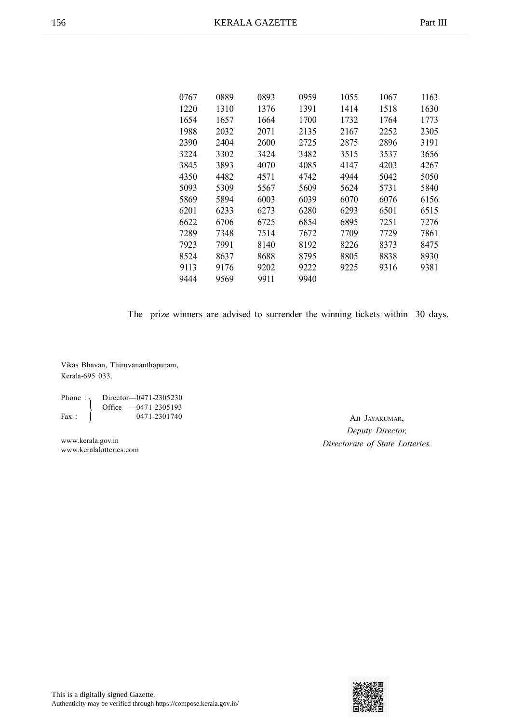| 0767 | 0889 | 0893 | 0959 | 1055 | 1067 | 1163 |
|------|------|------|------|------|------|------|
| 1220 | 1310 | 1376 | 1391 | 1414 | 1518 | 1630 |
| 1654 | 1657 | 1664 | 1700 | 1732 | 1764 | 1773 |
| 1988 | 2032 | 2071 | 2135 | 2167 | 2252 | 2305 |
| 2390 | 2404 | 2600 | 2725 | 2875 | 2896 | 3191 |
| 3224 | 3302 | 3424 | 3482 | 3515 | 3537 | 3656 |
| 3845 | 3893 | 4070 | 4085 | 4147 | 4203 | 4267 |
| 4350 | 4482 | 4571 | 4742 | 4944 | 5042 | 5050 |
| 5093 | 5309 | 5567 | 5609 | 5624 | 5731 | 5840 |
| 5869 | 5894 | 6003 | 6039 | 6070 | 6076 | 6156 |
| 6201 | 6233 | 6273 | 6280 | 6293 | 6501 | 6515 |
| 6622 | 6706 | 6725 | 6854 | 6895 | 7251 | 7276 |
| 7289 | 7348 | 7514 | 7672 | 7709 | 7729 | 7861 |
| 7923 | 7991 | 8140 | 8192 | 8226 | 8373 | 8475 |
| 8524 | 8637 | 8688 | 8795 | 8805 | 8838 | 8930 |
| 9113 | 9176 | 9202 | 9222 | 9225 | 9316 | 9381 |
| 9444 | 9569 | 9911 | 9940 |      |      |      |
|      |      |      |      |      |      |      |

Vikas Bhavan, Thiruvananthapuram, Kerala-695 033.

| Phone: $\lambda$ | Director-0471-2305230  |
|------------------|------------------------|
|                  | Office $-0471-2305193$ |
| $\text{Fax}$ :   | 0471-2301740           |

www.kerala.gov.in www.keralalotteries.com

AJI JAYAKUMAR, *Deputy Director, Directorate of State Lotteries.*

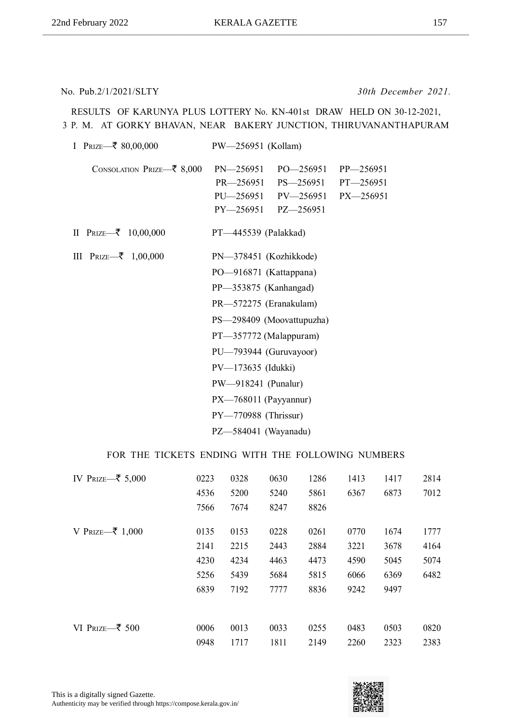No. Pub.2/1/2021/SLTY *30th December 2021.*

RESULTS OF KARUNYA PLUS LOTTERY No. KN-401st DRAW HELD ON 30-12-2021, 3 P. M. AT GORKY BHAVAN, NEAR BAKERY JUNCTION, THIRUVANANTHAPURAM

| I PRIZE $\overline{\mathcal{F}}$ 80,00,000    | PW-256951 (Kollam)                                                                                                                                                                                                                                                                                            |
|-----------------------------------------------|---------------------------------------------------------------------------------------------------------------------------------------------------------------------------------------------------------------------------------------------------------------------------------------------------------------|
| CONSOLATION PRIZE- $\bar{\mathfrak{c}}$ 8,000 | $PN - 256951$<br>PO-256951 PP-256951<br>PR—256951 PS—256951<br>$PT - 256951$<br>PU-256951 PV-256951<br>PX-256951<br>PY-256951 PZ-256951                                                                                                                                                                       |
| II PRIZE $\rightarrow$ 10,00,000              | PT-445539 (Palakkad)                                                                                                                                                                                                                                                                                          |
| III PRIZE $\overline{\mathbf{z}}$ 1,00,000    | PN-378451 (Kozhikkode)<br>PO-916871 (Kattappana)<br>PP-353875 (Kanhangad)<br>PR-572275 (Eranakulam)<br>PS-298409 (Moovattupuzha)<br>PT-357772 (Malappuram)<br>PU-793944 (Guruvayoor)<br>PV-173635 (Idukki)<br>PW-918241 (Punalur)<br>$PX$ -768011 (Payyannur)<br>PY-770988 (Thrissur)<br>PZ-584041 (Wayanadu) |

| IV PRIZE—₹ 5,000                      | 0223 | 0328 | 0630 | 1286 | 1413 | 1417 | 2814 |
|---------------------------------------|------|------|------|------|------|------|------|
|                                       | 4536 | 5200 | 5240 | 5861 | 6367 | 6873 | 7012 |
|                                       | 7566 | 7674 | 8247 | 8826 |      |      |      |
| V PRIZE—₹ 1,000                       | 0135 | 0153 | 0228 | 0261 | 0770 | 1674 | 1777 |
|                                       | 2141 | 2215 | 2443 | 2884 | 3221 | 3678 | 4164 |
|                                       | 4230 | 4234 | 4463 | 4473 | 4590 | 5045 | 5074 |
|                                       | 5256 | 5439 | 5684 | 5815 | 6066 | 6369 | 6482 |
|                                       | 6839 | 7192 | 7777 | 8836 | 9242 | 9497 |      |
|                                       |      |      |      |      |      |      |      |
| VI PRIZE $\overline{\mathcal{F}}$ 500 | 0006 | 0013 | 0033 | 0255 | 0483 | 0503 | 0820 |
|                                       | 0948 | 1717 | 1811 | 2149 | 2260 | 2323 | 2383 |

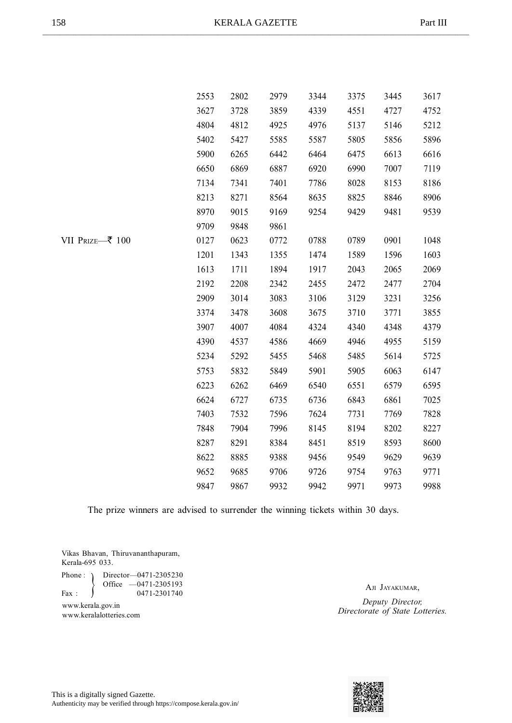|                 | 2553 | 2802 | 2979 | 3344 | 3375 | 3445 | 3617 |
|-----------------|------|------|------|------|------|------|------|
|                 | 3627 | 3728 | 3859 | 4339 | 4551 | 4727 | 4752 |
|                 | 4804 | 4812 | 4925 | 4976 | 5137 | 5146 | 5212 |
|                 | 5402 | 5427 | 5585 | 5587 | 5805 | 5856 | 5896 |
|                 | 5900 | 6265 | 6442 | 6464 | 6475 | 6613 | 6616 |
|                 | 6650 | 6869 | 6887 | 6920 | 6990 | 7007 | 7119 |
|                 | 7134 | 7341 | 7401 | 7786 | 8028 | 8153 | 8186 |
|                 | 8213 | 8271 | 8564 | 8635 | 8825 | 8846 | 8906 |
|                 | 8970 | 9015 | 9169 | 9254 | 9429 | 9481 | 9539 |
|                 | 9709 | 9848 | 9861 |      |      |      |      |
| VII Prize—₹ 100 | 0127 | 0623 | 0772 | 0788 | 0789 | 0901 | 1048 |
|                 | 1201 | 1343 | 1355 | 1474 | 1589 | 1596 | 1603 |
|                 | 1613 | 1711 | 1894 | 1917 | 2043 | 2065 | 2069 |
|                 | 2192 | 2208 | 2342 | 2455 | 2472 | 2477 | 2704 |
|                 | 2909 | 3014 | 3083 | 3106 | 3129 | 3231 | 3256 |
|                 | 3374 | 3478 | 3608 | 3675 | 3710 | 3771 | 3855 |
|                 | 3907 | 4007 | 4084 | 4324 | 4340 | 4348 | 4379 |
|                 | 4390 | 4537 | 4586 | 4669 | 4946 | 4955 | 5159 |
|                 | 5234 | 5292 | 5455 | 5468 | 5485 | 5614 | 5725 |
|                 | 5753 | 5832 | 5849 | 5901 | 5905 | 6063 | 6147 |
|                 | 6223 | 6262 | 6469 | 6540 | 6551 | 6579 | 6595 |
|                 | 6624 | 6727 | 6735 | 6736 | 6843 | 6861 | 7025 |
|                 | 7403 | 7532 | 7596 | 7624 | 7731 | 7769 | 7828 |
|                 | 7848 | 7904 | 7996 | 8145 | 8194 | 8202 | 8227 |
|                 | 8287 | 8291 | 8384 | 8451 | 8519 | 8593 | 8600 |
|                 | 8622 | 8885 | 9388 | 9456 | 9549 | 9629 | 9639 |
|                 | 9652 | 9685 | 9706 | 9726 | 9754 | 9763 | 9771 |
|                 | 9847 | 9867 | 9932 | 9942 | 9971 | 9973 | 9988 |

Vikas Bhavan, Thiruvananthapuram, Kerala-695 033.

 $\left\{ \right.$ Phone : ) Director - 0471-2305230 Office —0471-2305193 Fax :  $\bigcup$  0471-2301740

www.keralalotteries.com

AJI JAYAKUMAR, *Deputy Director, Directorate of State Lotteries.* www.kerala.gov.in

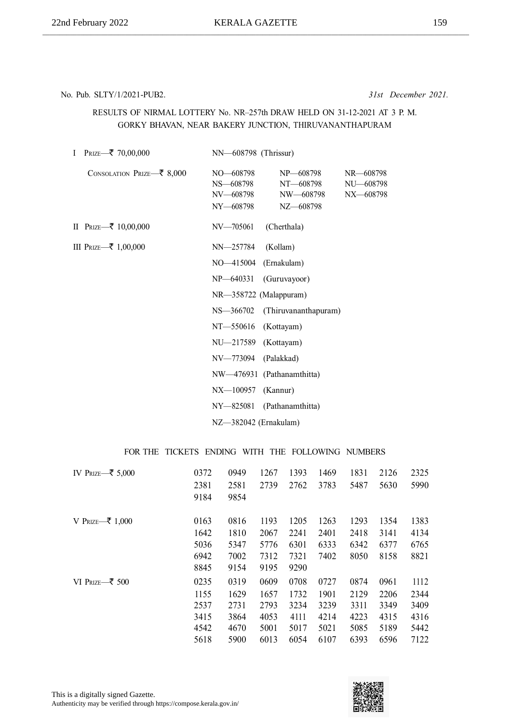#### No. Pub. SLTY/1/2021-PUB2. *31st December 2021.*

#### RESULTS OF NIRMAL LOTTERY No. NR–257th DRAW HELD ON 31-12-2021 AT 3 P. M. GORKY BHAVAN, NEAR BAKERY JUNCTION, THIRUVANANTHAPURAM

| I<br>PRIZE—₹ 70,00,000                          | NN—608798 (Thrissur)                             |                                                  |                                     |
|-------------------------------------------------|--------------------------------------------------|--------------------------------------------------|-------------------------------------|
| CONSOLATION PRIZE $\overline{\mathbf{z}}$ 8,000 | NO-608798<br>NS-608798<br>NV-608798<br>NY-608798 | NP-608798<br>NT-608798<br>NW-608798<br>NZ-608798 | NR-608798<br>NU-608798<br>NX-608798 |
| II PRIZE $-$ ₹ 10,00,000                        | NV-705061                                        | (Cherthala)                                      |                                     |
| III PRIZE—₹ 1,00,000                            | NN-257784                                        | (Kollam)                                         |                                     |
|                                                 | NO-415004                                        | (Ernakulam)                                      |                                     |
|                                                 | $NP - 640331$                                    | (Guruvayoor)                                     |                                     |
|                                                 |                                                  | NR-358722 (Malappuram)                           |                                     |
|                                                 | NS-366702                                        | (Thiruvananthapuram)                             |                                     |
|                                                 | NT-550616                                        | (Kottayam)                                       |                                     |
|                                                 | NU-217589                                        | (Kottayam)                                       |                                     |
|                                                 | NV-773094                                        | (Palakkad)                                       |                                     |
|                                                 |                                                  | NW-476931 (Pathanamthitta)                       |                                     |
|                                                 | NX-100957                                        | (Kannur)                                         |                                     |
|                                                 | NY-825081                                        | (Pathanamthitta)                                 |                                     |
|                                                 |                                                  |                                                  |                                     |

NZ—382042 (Ernakulam)

| IV Prize $\overline{\mathcal{F}}$ 5,000 | 0372<br>2381<br>9184                         | 0949<br>2581<br>9854                         | 1267<br>2739                                 | 1393<br>2762                                 | 1469<br>3783                                 | 1831<br>5487                                 | 2126<br>5630                                 | 2325<br>5990                                 |
|-----------------------------------------|----------------------------------------------|----------------------------------------------|----------------------------------------------|----------------------------------------------|----------------------------------------------|----------------------------------------------|----------------------------------------------|----------------------------------------------|
| V PRIZE $ \bar{\tau}$ 1,000             | 0163<br>1642<br>5036<br>6942<br>8845         | 0816<br>1810<br>5347<br>7002<br>9154         | 1193<br>2067<br>5776<br>7312<br>9195         | 1205<br>2241<br>6301<br>7321<br>9290         | 1263<br>2401<br>6333<br>7402                 | 1293<br>2418<br>6342<br>8050                 | 1354<br>3141<br>6377<br>8158                 | 1383<br>4134<br>6765<br>8821                 |
| VI PRIZE $\overline{\mathcal{Z}}$ 500   | 0235<br>1155<br>2537<br>3415<br>4542<br>5618 | 0319<br>1629<br>2731<br>3864<br>4670<br>5900 | 0609<br>1657<br>2793<br>4053<br>5001<br>6013 | 0708<br>1732<br>3234<br>4111<br>5017<br>6054 | 0727<br>1901<br>3239<br>4214<br>5021<br>6107 | 0874<br>2129<br>3311<br>4223<br>5085<br>6393 | 0961<br>2206<br>3349<br>4315<br>5189<br>6596 | 1112<br>2344<br>3409<br>4316<br>5442<br>7122 |